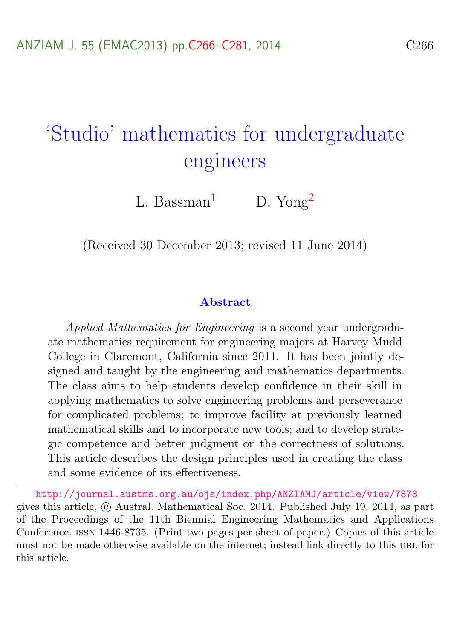# <span id="page-0-0"></span>'Studio' mathematics for undergraduate engineers

L. Bassman<sup>[1](#page-14-0)</sup> D. Yong<sup>[2](#page-15-0)</sup>

(Received 30 December 2013; revised 11 June 2014)

#### Abstract

Applied Mathematics for Engineering is a second year undergraduate mathematics requirement for engineering majors at Harvey Mudd College in Claremont, California since 2011. It has been jointly designed and taught by the engineering and mathematics departments. The class aims to help students develop confidence in their skill in applying mathematics to solve engineering problems and perseverance for complicated problems; to improve facility at previously learned mathematical skills and to incorporate new tools; and to develop strategic competence and better judgment on the correctness of solutions. This article describes the design principles used in creating the class and some evidence of its effectiveness.

<http://journal.austms.org.au/ojs/index.php/ANZIAMJ/article/view/7878> gives this article, c Austral. Mathematical Soc. 2014. Published July 19, 2014, as part of the Proceedings of the 11th Biennial Engineering Mathematics and Applications Conference. issn 1446-8735. (Print two pages per sheet of paper.) Copies of this article must not be made otherwise available on the internet; instead link directly to this URL for this article.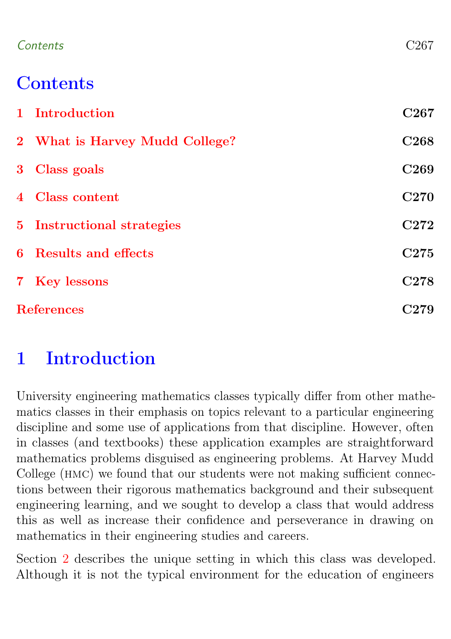#### Contents C267

## **Contents**

|                   | 1 Introduction                 | C <sub>267</sub> |
|-------------------|--------------------------------|------------------|
|                   | 2 What is Harvey Mudd College? | C <sub>268</sub> |
|                   | 3 Class goals                  | C <sub>269</sub> |
|                   | 4 Class content                | C <sub>270</sub> |
|                   | 5 Instructional strategies     | C <sub>272</sub> |
|                   | 6 Results and effects          | C <sub>275</sub> |
|                   | 7 Key lessons                  | C <sub>278</sub> |
| <b>References</b> |                                | C <sub>279</sub> |

## <span id="page-1-0"></span>1 Introduction

University engineering mathematics classes typically differ from other mathematics classes in their emphasis on topics relevant to a particular engineering discipline and some use of applications from that discipline. However, often in classes (and textbooks) these application examples are straightforward mathematics problems disguised as engineering problems. At Harvey Mudd College (HMC) we found that our students were not making sufficient connections between their rigorous mathematics background and their subsequent engineering learning, and we sought to develop a class that would address this as well as increase their confidence and perseverance in drawing on mathematics in their engineering studies and careers.

Section [2](#page-2-0) describes the unique setting in which this class was developed. Although it is not the typical environment for the education of engineers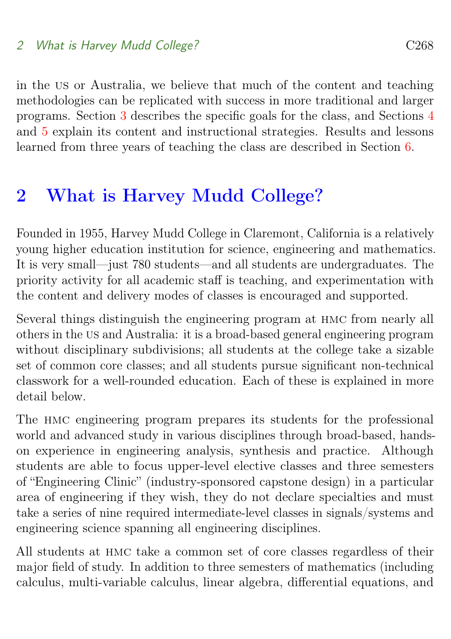#### 2 What is Harvey Mudd College? C268

in the us or Australia, we believe that much of the content and teaching methodologies can be replicated with success in more traditional and larger programs. Section [3](#page-3-0) describes the specific goals for the class, and Sections [4](#page-4-0) and [5](#page-6-0) explain its content and instructional strategies. Results and lessons learned from three years of teaching the class are described in Section [6.](#page-9-0)

### <span id="page-2-0"></span>2 What is Harvey Mudd College?

Founded in 1955, Harvey Mudd College in Claremont, California is a relatively young higher education institution for science, engineering and mathematics. It is very small—just 780 students—and all students are undergraduates. The priority activity for all academic staff is teaching, and experimentation with the content and delivery modes of classes is encouraged and supported.

Several things distinguish the engineering program at hmc from nearly all others in the us and Australia: it is a broad-based general engineering program without disciplinary subdivisions; all students at the college take a sizable set of common core classes; and all students pursue significant non-technical classwork for a well-rounded education. Each of these is explained in more detail below.

The hmc engineering program prepares its students for the professional world and advanced study in various disciplines through broad-based, handson experience in engineering analysis, synthesis and practice. Although students are able to focus upper-level elective classes and three semesters of "Engineering Clinic" (industry-sponsored capstone design) in a particular area of engineering if they wish, they do not declare specialties and must take a series of nine required intermediate-level classes in signals/systems and engineering science spanning all engineering disciplines.

All students at hmc take a common set of core classes regardless of their major field of study. In addition to three semesters of mathematics (including calculus, multi-variable calculus, linear algebra, differential equations, and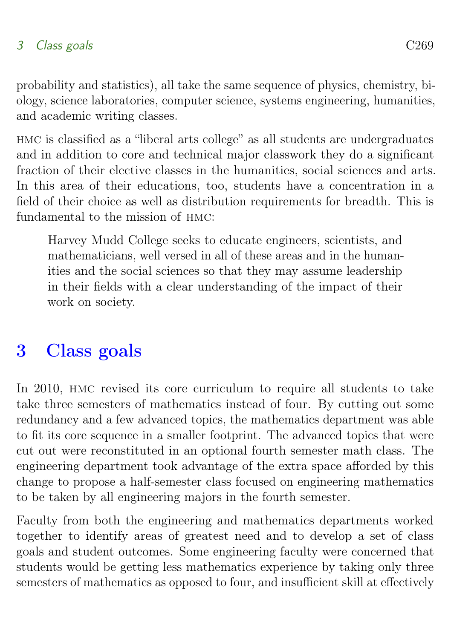probability and statistics), all take the same sequence of physics, chemistry, biology, science laboratories, computer science, systems engineering, humanities, and academic writing classes.

hmc is classified as a "liberal arts college" as all students are undergraduates and in addition to core and technical major classwork they do a significant fraction of their elective classes in the humanities, social sciences and arts. In this area of their educations, too, students have a concentration in a field of their choice as well as distribution requirements for breadth. This is fundamental to the mission of HMC:

Harvey Mudd College seeks to educate engineers, scientists, and mathematicians, well versed in all of these areas and in the humanities and the social sciences so that they may assume leadership in their fields with a clear understanding of the impact of their work on society.

### <span id="page-3-0"></span>3 Class goals

In 2010, hmc revised its core curriculum to require all students to take take three semesters of mathematics instead of four. By cutting out some redundancy and a few advanced topics, the mathematics department was able to fit its core sequence in a smaller footprint. The advanced topics that were cut out were reconstituted in an optional fourth semester math class. The engineering department took advantage of the extra space afforded by this change to propose a half-semester class focused on engineering mathematics to be taken by all engineering majors in the fourth semester.

Faculty from both the engineering and mathematics departments worked together to identify areas of greatest need and to develop a set of class goals and student outcomes. Some engineering faculty were concerned that students would be getting less mathematics experience by taking only three semesters of mathematics as opposed to four, and insufficient skill at effectively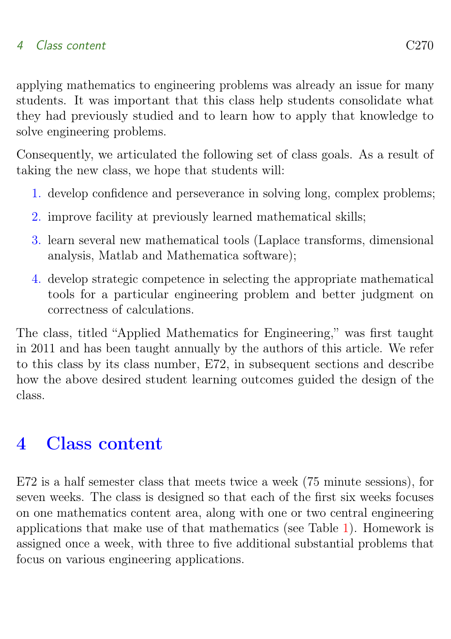applying mathematics to engineering problems was already an issue for many students. It was important that this class help students consolidate what they had previously studied and to learn how to apply that knowledge to solve engineering problems.

Consequently, we articulated the following set of class goals. As a result of taking the new class, we hope that students will:

- <span id="page-4-1"></span>1. develop confidence and perseverance in solving long, complex problems;
- <span id="page-4-3"></span>2. improve facility at previously learned mathematical skills:
- <span id="page-4-4"></span>3. learn several new mathematical tools (Laplace transforms, dimensional analysis, Matlab and Mathematica software);
- <span id="page-4-2"></span>4. develop strategic competence in selecting the appropriate mathematical tools for a particular engineering problem and better judgment on correctness of calculations.

The class, titled "Applied Mathematics for Engineering," was first taught in 2011 and has been taught annually by the authors of this article. We refer to this class by its class number, E72, in subsequent sections and describe how the above desired student learning outcomes guided the design of the class.

# <span id="page-4-0"></span>4 Class content

E72 is a half semester class that meets twice a week (75 minute sessions), for seven weeks. The class is designed so that each of the first six weeks focuses on one mathematics content area, along with one or two central engineering applications that make use of that mathematics (see Table [1\)](#page-5-0). Homework is assigned once a week, with three to five additional substantial problems that focus on various engineering applications.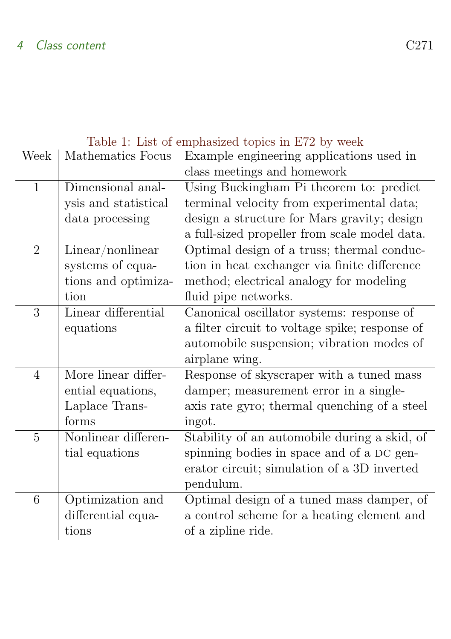| Table 1: List of emphasized topics in ETZ by week |                      |                                                |  |
|---------------------------------------------------|----------------------|------------------------------------------------|--|
| Week                                              | Mathematics Focus    | Example engineering applications used in       |  |
|                                                   |                      | class meetings and homework                    |  |
| $\mathbf{1}$                                      | Dimensional anal-    | Using Buckingham Pi theorem to: predict        |  |
|                                                   | ysis and statistical | terminal velocity from experimental data;      |  |
|                                                   | data processing      | design a structure for Mars gravity; design    |  |
|                                                   |                      | a full-sized propeller from scale model data.  |  |
| $\overline{2}$                                    | Linear/nonlinear     | Optimal design of a truss; thermal conduc-     |  |
|                                                   | systems of equa-     | tion in heat exchanger via finite difference   |  |
|                                                   | tions and optimiza-  | method; electrical analogy for modeling        |  |
|                                                   | tion                 | fluid pipe networks.                           |  |
| 3                                                 | Linear differential  | Canonical oscillator systems: response of      |  |
|                                                   | equations            | a filter circuit to voltage spike; response of |  |
|                                                   |                      | automobile suspension; vibration modes of      |  |
|                                                   |                      | airplane wing.                                 |  |
| 4                                                 | More linear differ-  | Response of skyscraper with a tuned mass       |  |
|                                                   | ential equations,    | damper; measurement error in a single-         |  |
|                                                   | Laplace Trans-       | axis rate gyro; thermal quenching of a steel   |  |
|                                                   | forms                | ingot.                                         |  |
| 5                                                 | Nonlinear differen-  | Stability of an automobile during a skid, of   |  |
|                                                   | tial equations       | spinning bodies in space and of a DC gen-      |  |
|                                                   |                      | erator circuit; simulation of a 3D inverted    |  |
|                                                   |                      | pendulum.                                      |  |
| 6                                                 | Optimization and     | Optimal design of a tuned mass damper, of      |  |
|                                                   | differential equa-   | a control scheme for a heating element and     |  |
|                                                   | tions                | of a zipline ride.                             |  |
|                                                   |                      |                                                |  |

#### <span id="page-5-0"></span>Table 1: List of emphasized topics in E72 by week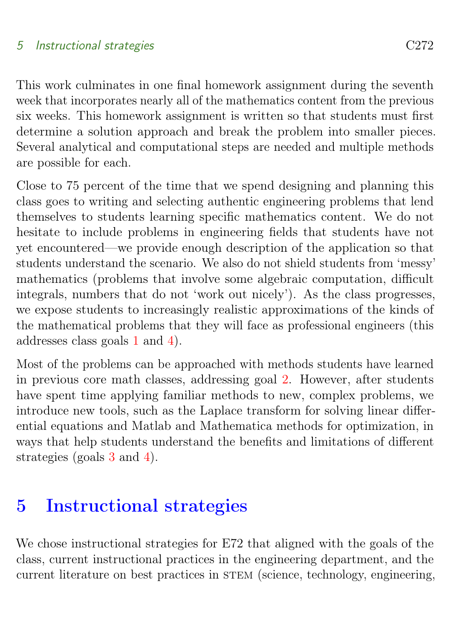This work culminates in one final homework assignment during the seventh week that incorporates nearly all of the mathematics content from the previous six weeks. This homework assignment is written so that students must first determine a solution approach and break the problem into smaller pieces. Several analytical and computational steps are needed and multiple methods are possible for each.

Close to 75 percent of the time that we spend designing and planning this class goes to writing and selecting authentic engineering problems that lend themselves to students learning specific mathematics content. We do not hesitate to include problems in engineering fields that students have not yet encountered—we provide enough description of the application so that students understand the scenario. We also do not shield students from 'messy' mathematics (problems that involve some algebraic computation, difficult integrals, numbers that do not 'work out nicely'). As the class progresses, we expose students to increasingly realistic approximations of the kinds of the mathematical problems that they will face as professional engineers (this addresses class goals [1](#page-4-1) and [4\)](#page-4-2).

Most of the problems can be approached with methods students have learned in previous core math classes, addressing goal [2.](#page-4-3) However, after students have spent time applying familiar methods to new, complex problems, we introduce new tools, such as the Laplace transform for solving linear differential equations and Matlab and Mathematica methods for optimization, in ways that help students understand the benefits and limitations of different strategies (goals [3](#page-4-4) and [4\)](#page-4-2).

### <span id="page-6-0"></span>5 Instructional strategies

We chose instructional strategies for E72 that aligned with the goals of the class, current instructional practices in the engineering department, and the current literature on best practices in STEM (science, technology, engineering,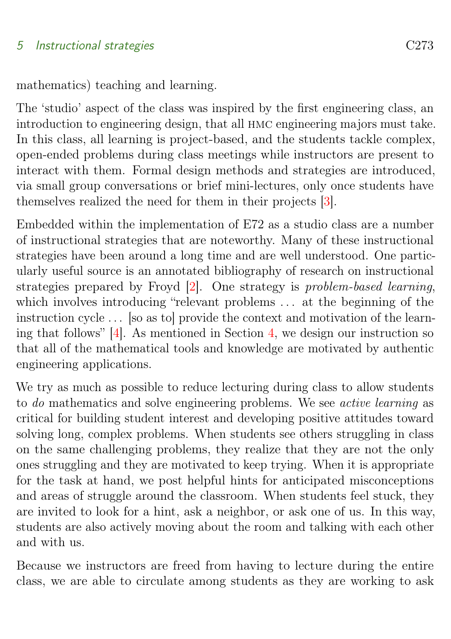<span id="page-7-0"></span>mathematics) teaching and learning.

The 'studio' aspect of the class was inspired by the first engineering class, an introduction to engineering design, that all hmc engineering majors must take. In this class, all learning is project-based, and the students tackle complex, open-ended problems during class meetings while instructors are present to interact with them. Formal design methods and strategies are introduced, via small group conversations or brief mini-lectures, only once students have themselves realized the need for them in their projects [\[3\]](#page-14-1).

Embedded within the implementation of E72 as a studio class are a number of instructional strategies that are noteworthy. Many of these instructional strategies have been around a long time and are well understood. One particularly useful source is an annotated bibliography of research on instructional strategies prepared by Froyd [\[2\]](#page-14-2). One strategy is problem-based learning, which involves introducing "relevant problems ... at the beginning of the instruction cycle . . . [so as to] provide the context and motivation of the learning that follows" [\[4\]](#page-14-3). As mentioned in Section [4,](#page-4-0) we design our instruction so that all of the mathematical tools and knowledge are motivated by authentic engineering applications.

We try as much as possible to reduce lecturing during class to allow students to do mathematics and solve engineering problems. We see active learning as critical for building student interest and developing positive attitudes toward solving long, complex problems. When students see others struggling in class on the same challenging problems, they realize that they are not the only ones struggling and they are motivated to keep trying. When it is appropriate for the task at hand, we post helpful hints for anticipated misconceptions and areas of struggle around the classroom. When students feel stuck, they are invited to look for a hint, ask a neighbor, or ask one of us. In this way, students are also actively moving about the room and talking with each other and with us.

Because we instructors are freed from having to lecture during the entire class, we are able to circulate among students as they are working to ask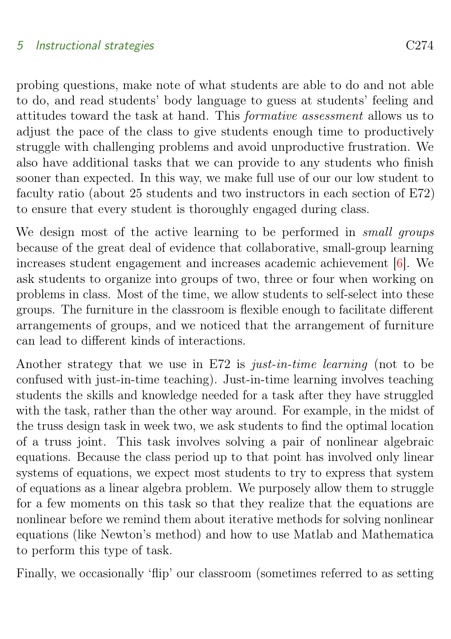<span id="page-8-0"></span>probing questions, make note of what students are able to do and not able to do, and read students' body language to guess at students' feeling and attitudes toward the task at hand. This formative assessment allows us to adjust the pace of the class to give students enough time to productively struggle with challenging problems and avoid unproductive frustration. We also have additional tasks that we can provide to any students who finish sooner than expected. In this way, we make full use of our our low student to faculty ratio (about 25 students and two instructors in each section of E72) to ensure that every student is thoroughly engaged during class.

We design most of the active learning to be performed in *small groups* because of the great deal of evidence that collaborative, small-group learning increases student engagement and increases academic achievement [\[6\]](#page-14-4). We ask students to organize into groups of two, three or four when working on problems in class. Most of the time, we allow students to self-select into these groups. The furniture in the classroom is flexible enough to facilitate different arrangements of groups, and we noticed that the arrangement of furniture can lead to different kinds of interactions.

Another strategy that we use in E72 is just-in-time learning (not to be confused with just-in-time teaching). Just-in-time learning involves teaching students the skills and knowledge needed for a task after they have struggled with the task, rather than the other way around. For example, in the midst of the truss design task in week two, we ask students to find the optimal location of a truss joint. This task involves solving a pair of nonlinear algebraic equations. Because the class period up to that point has involved only linear systems of equations, we expect most students to try to express that system of equations as a linear algebra problem. We purposely allow them to struggle for a few moments on this task so that they realize that the equations are nonlinear before we remind them about iterative methods for solving nonlinear equations (like Newton's method) and how to use Matlab and Mathematica to perform this type of task.

Finally, we occasionally 'flip' our classroom (sometimes referred to as setting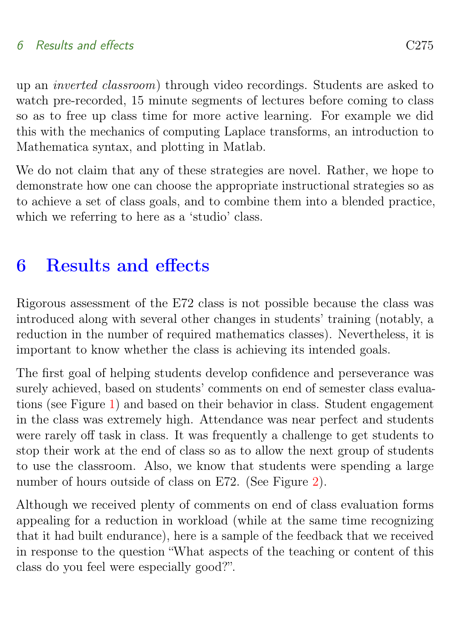up an inverted classroom) through video recordings. Students are asked to watch pre-recorded, 15 minute segments of lectures before coming to class so as to free up class time for more active learning. For example we did this with the mechanics of computing Laplace transforms, an introduction to Mathematica syntax, and plotting in Matlab.

We do not claim that any of these strategies are novel. Rather, we hope to demonstrate how one can choose the appropriate instructional strategies so as to achieve a set of class goals, and to combine them into a blended practice, which we referring to here as a 'studio' class.

# <span id="page-9-0"></span>6 Results and effects

Rigorous assessment of the E72 class is not possible because the class was introduced along with several other changes in students' training (notably, a reduction in the number of required mathematics classes). Nevertheless, it is important to know whether the class is achieving its intended goals.

The first goal of helping students develop confidence and perseverance was surely achieved, based on students' comments on end of semester class evaluations (see Figure [1\)](#page-10-0) and based on their behavior in class. Student engagement in the class was extremely high. Attendance was near perfect and students were rarely off task in class. It was frequently a challenge to get students to stop their work at the end of class so as to allow the next group of students to use the classroom. Also, we know that students were spending a large number of hours outside of class on E72. (See Figure [2\)](#page-10-1).

Although we received plenty of comments on end of class evaluation forms appealing for a reduction in workload (while at the same time recognizing that it had built endurance), here is a sample of the feedback that we received in response to the question "What aspects of the teaching or content of this class do you feel were especially good?".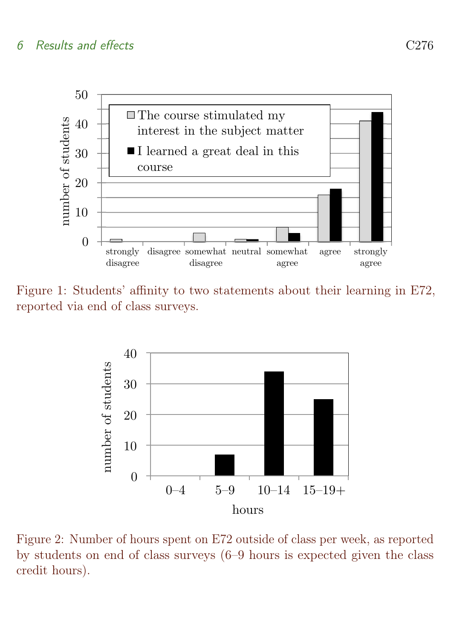#### 6 Results and effects C276



<span id="page-10-0"></span>Figure 1: Students' affinity to two statements about their learning in E72, reported via end of class surveys.



<span id="page-10-1"></span>Figure 2: Number of hours spent on E72 outside of class per week, as reported by students on end of class surveys (6–9 hours is expected given the class credit hours).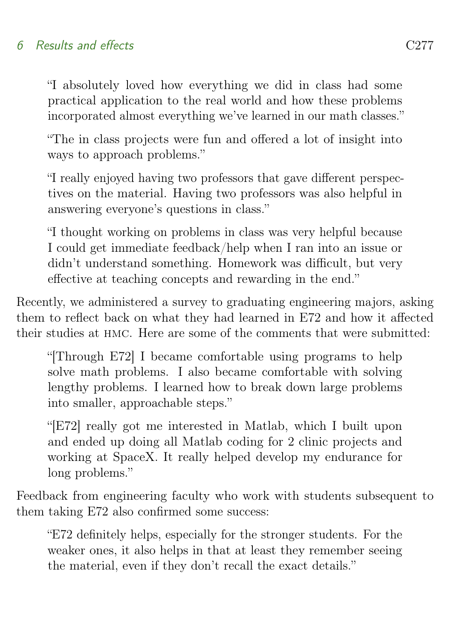#### 6 Results and effects C277

"I absolutely loved how everything we did in class had some practical application to the real world and how these problems incorporated almost everything we've learned in our math classes."

"The in class projects were fun and offered a lot of insight into ways to approach problems."

"I really enjoyed having two professors that gave different perspectives on the material. Having two professors was also helpful in answering everyone's questions in class."

"I thought working on problems in class was very helpful because I could get immediate feedback/help when I ran into an issue or didn't understand something. Homework was difficult, but very effective at teaching concepts and rewarding in the end."

Recently, we administered a survey to graduating engineering majors, asking them to reflect back on what they had learned in E72 and how it affected their studies at hmc. Here are some of the comments that were submitted:

"[Through E72] I became comfortable using programs to help solve math problems. I also became comfortable with solving lengthy problems. I learned how to break down large problems into smaller, approachable steps."

"[E72] really got me interested in Matlab, which I built upon and ended up doing all Matlab coding for 2 clinic projects and working at SpaceX. It really helped develop my endurance for long problems."

Feedback from engineering faculty who work with students subsequent to them taking E72 also confirmed some success:

"E72 definitely helps, especially for the stronger students. For the weaker ones, it also helps in that at least they remember seeing the material, even if they don't recall the exact details."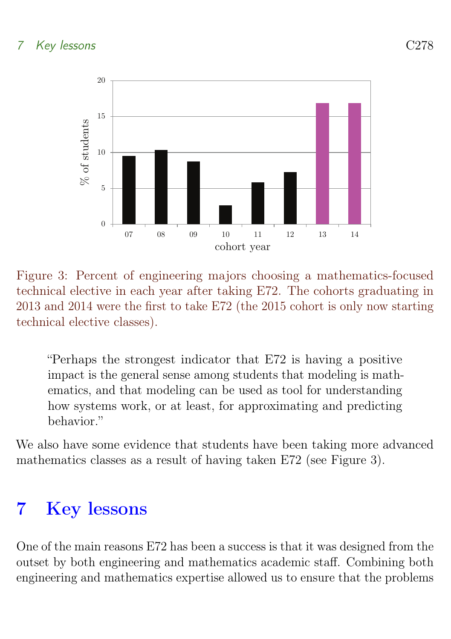#### 7 Key lessons C278



Figure 3: Percent of engineering majors choosing a mathematics-focused technical elective in each year after taking E72. The cohorts graduating in 2013 and 2014 were the first to take E72 (the 2015 cohort is only now starting technical elective classes).

"Perhaps the strongest indicator that E72 is having a positive impact is the general sense among students that modeling is mathematics, and that modeling can be used as tool for understanding how systems work, or at least, for approximating and predicting behavior."

We also have some evidence that students have been taking more advanced mathematics classes as a result of having taken E72 (see Figure 3).

## <span id="page-12-0"></span>7 Key lessons

One of the main reasons E72 has been a success is that it was designed from the outset by both engineering and mathematics academic staff. Combining both engineering and mathematics expertise allowed us to ensure that the problems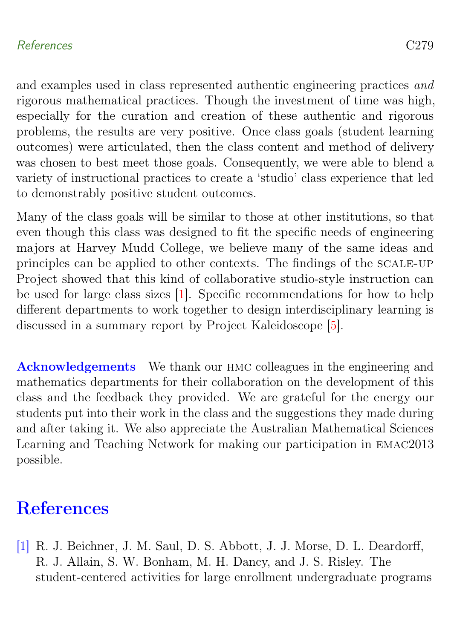#### <span id="page-13-2"></span>References C279

and examples used in class represented authentic engineering practices and rigorous mathematical practices. Though the investment of time was high, especially for the curation and creation of these authentic and rigorous problems, the results are very positive. Once class goals (student learning outcomes) were articulated, then the class content and method of delivery was chosen to best meet those goals. Consequently, we were able to blend a variety of instructional practices to create a 'studio' class experience that led to demonstrably positive student outcomes.

Many of the class goals will be similar to those at other institutions, so that even though this class was designed to fit the specific needs of engineering majors at Harvey Mudd College, we believe many of the same ideas and principles can be applied to other contexts. The findings of the scale-up Project showed that this kind of collaborative studio-style instruction can be used for large class sizes [\[1\]](#page-13-1). Specific recommendations for how to help different departments to work together to design interdisciplinary learning is discussed in a summary report by Project Kaleidoscope [\[5\]](#page-14-5).

Acknowledgements We thank our HMC colleagues in the engineering and mathematics departments for their collaboration on the development of this class and the feedback they provided. We are grateful for the energy our students put into their work in the class and the suggestions they made during and after taking it. We also appreciate the Australian Mathematical Sciences Learning and Teaching Network for making our participation in emac2013 possible.

### <span id="page-13-0"></span>**References**

<span id="page-13-1"></span>[1] R. J. Beichner, J. M. Saul, D. S. Abbott, J. J. Morse, D. L. Deardorff, R. J. Allain, S. W. Bonham, M. H. Dancy, and J. S. Risley. The student-centered activities for large enrollment undergraduate programs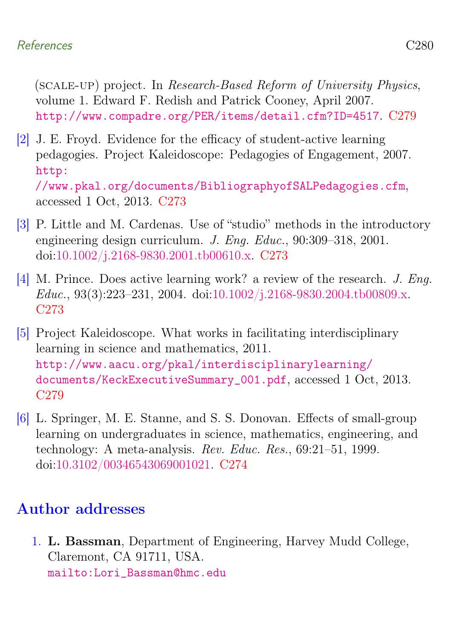#### References C<sub>280</sub>

(scale-up) project. In Research-Based Reform of University Physics, volume 1. Edward F. Redish and Patrick Cooney, April 2007. <http://www.compadre.org/PER/items/detail.cfm?ID=4517>. [C279](#page-13-2)

<span id="page-14-2"></span>[2] J. E. Froyd. Evidence for the efficacy of student-active learning pedagogies. Project Kaleidoscope: Pedagogies of Engagement, 2007. [http:](http://www.pkal.org/documents/BibliographyofSALPedagogies.cfm) [//www.pkal.org/documents/BibliographyofSALPedagogies.cfm](http://www.pkal.org/documents/BibliographyofSALPedagogies.cfm),

accessed 1 Oct, 2013. [C273](#page-7-0)

- <span id="page-14-1"></span>[3] P. Little and M. Cardenas. Use of "studio" methods in the introductory engineering design curriculum. J. Eng. Educ., 90:309–318, 2001. doi[:10.1002/j.2168-9830.2001.tb00610.x.](http://dx.doi.org/10.1002/j.2168-9830.2001.tb00610.x) [C273](#page-7-0)
- <span id="page-14-3"></span>[4] M. Prince. Does active learning work? a review of the research. J. Eng. Educ., 93(3):223–231, 2004. doi[:10.1002/j.2168-9830.2004.tb00809.x.](http://dx.doi.org/10.1002/j.2168-9830.2004.tb00809.x) [C273](#page-7-0)
- <span id="page-14-5"></span>[5] Project Kaleidoscope. What works in facilitating interdisciplinary learning in science and mathematics, 2011. [http://www.aacu.org/pkal/interdisciplinarylearning/](http://www.aacu.org/pkal/interdisciplinarylearning/documents/KeckExecutiveSummary_001.pdf) [documents/KeckExecutiveSummary\\_001.pdf](http://www.aacu.org/pkal/interdisciplinarylearning/documents/KeckExecutiveSummary_001.pdf), accessed 1 Oct, 2013. [C279](#page-13-2)
- <span id="page-14-4"></span>[6] L. Springer, M. E. Stanne, and S. S. Donovan. Effects of small-group learning on undergraduates in science, mathematics, engineering, and technology: A meta-analysis. Rev. Educ. Res., 69:21–51, 1999. doi[:10.3102/00346543069001021.](http://dx.doi.org/10.3102/00346543069001021) [C274](#page-8-0)

### Author addresses

<span id="page-14-0"></span>1. L. Bassman, Department of Engineering, Harvey Mudd College, Claremont, CA 91711, USA. [mailto:Lori\\_Bassman@hmc.edu](mailto:Lori_Bassman@hmc.edu)